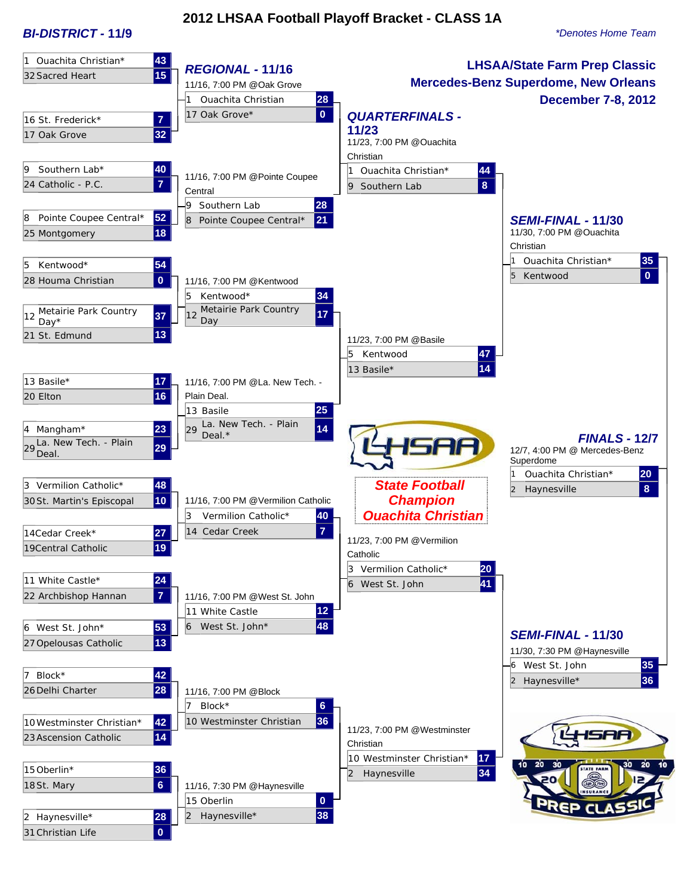# **2012 LHSAA Football Playoff Bracket - CLASS 1A**

*BI-DISTRICT -* **11/9** *\*Denotes Home Team*

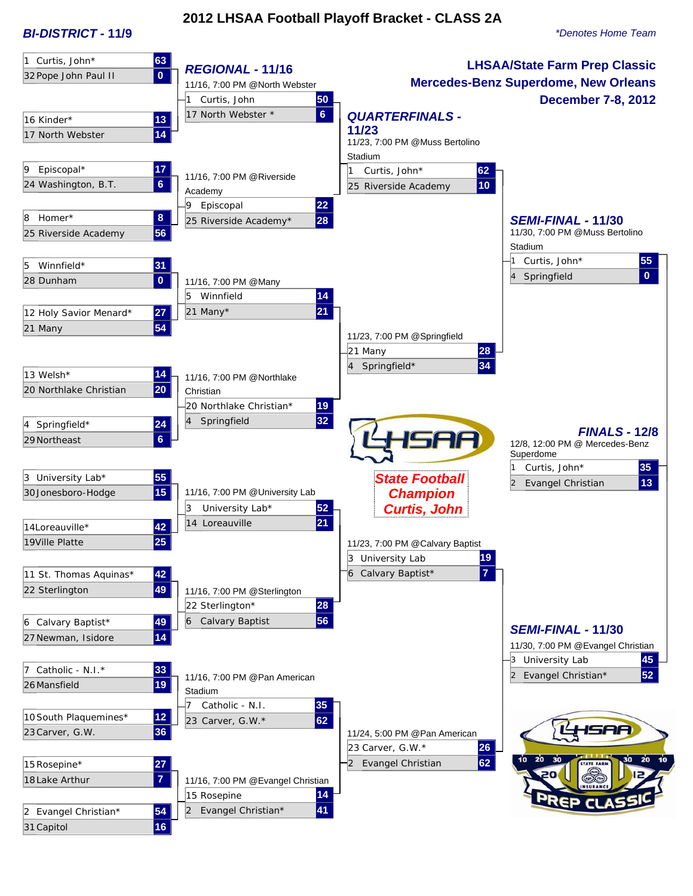#### *BI-DISTRICT -* **11/9** *\*Denotes Home Team*

# **2012 LHSAA Football Playoff Bracket - CLASS 2A**

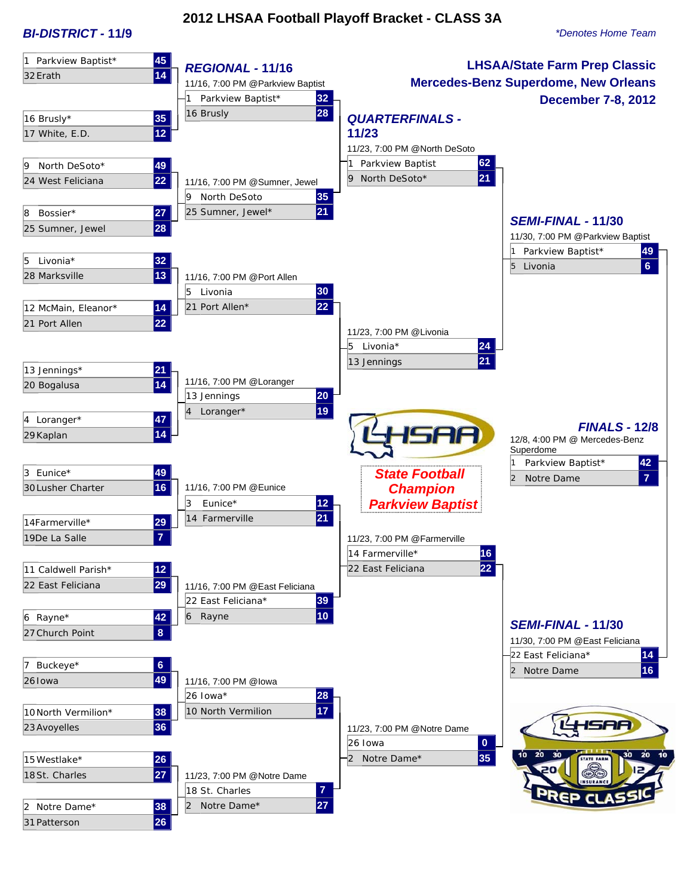*BI-DISTRICT -* **11/9** *\*Denotes Home Team*

## **2012 LHSAA Football Playoff Bracket - CLASS 3A**

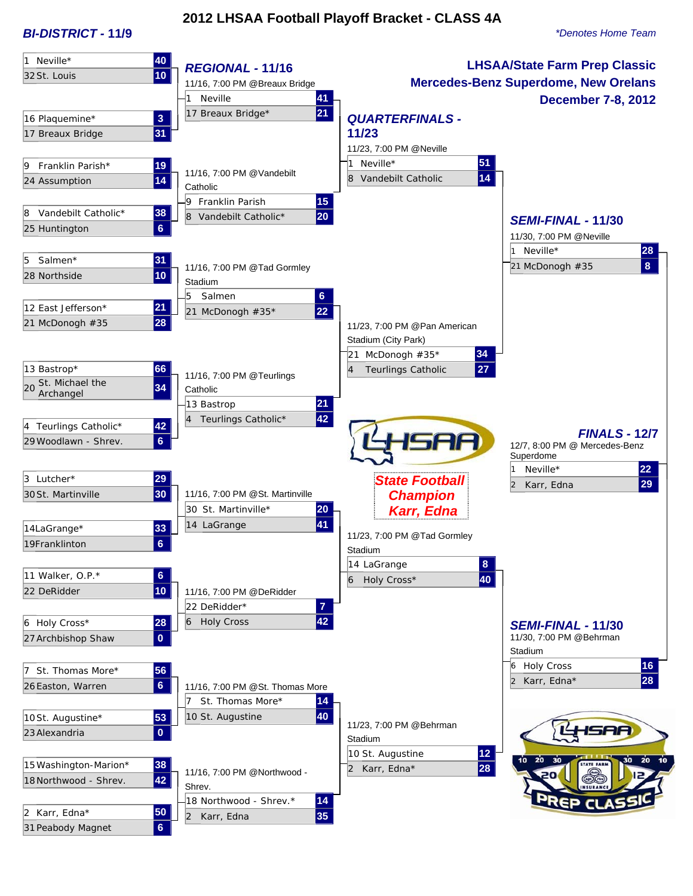#### *BI-DISTRICT -* **11/9** *\*Denotes Home Team*

# **2012 LHSAA Football Playoff Bracket - CLASS 4A**